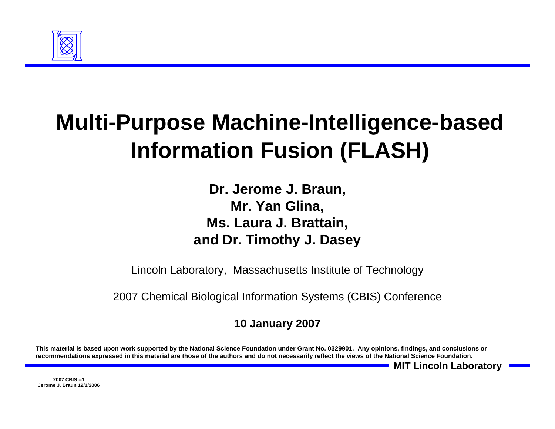

# **Multi-Purpose Machine-Intelligence-based Information Fusion (FLASH)**

**Dr. Jerome J. Braun, Mr. Yan Glina, Ms. Laura J. Brattain, and Dr. Timothy J. Dasey**

Lincoln Laboratory, Massachusetts Institute of Technology

2007 Chemical Biological Information Systems (CBIS) Conference

#### **10 January 2007**

**This material is based upon work supported by the National Science Foundation under Grant No. 0329901. Any opinions, findings, and conclusions or recommendations expressed in this material are those of the authors and do not necessarily reflect the views of the National Science Foundation.**

**MIT Lincoln Laboratory**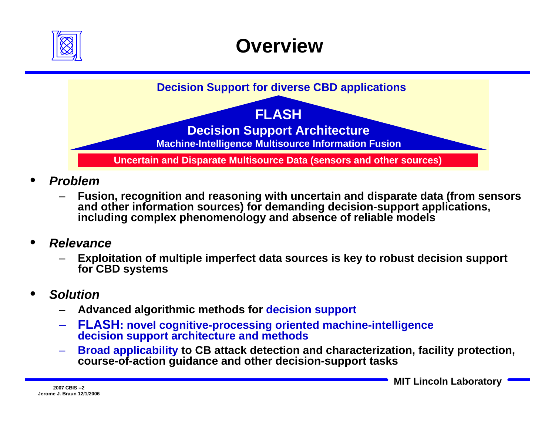

## **Overview**

**Decision Support for diverse CBD applications**

#### **FLASH**

**Decision Support Architecture**

**Machine-Intelligence Multisource Information Fusion**

**Uncertain and Disparate Multisource Data (sensors and other sources)**

- • *Problem*
	- **Fusion, recognition and reasoning with uncertain and disparate data (from sensors and other information sources) for demanding decision-support applications, including complex phenomenology and absence of reliable models**
- • *Relevance*
	- **Exploitation of multiple imperfect data sources is key to robust decision support for CBD systems**
- • *Solution*
	- **Advanced algorithmic methods for decision support**
	- **FLASH: novel cognitive-processing oriented machine-intelligence decision support architecture and methods**
	- **Broad applicability to CB attack detection and characterization, facility protection, course-of-action guidance and other decision-support tasks**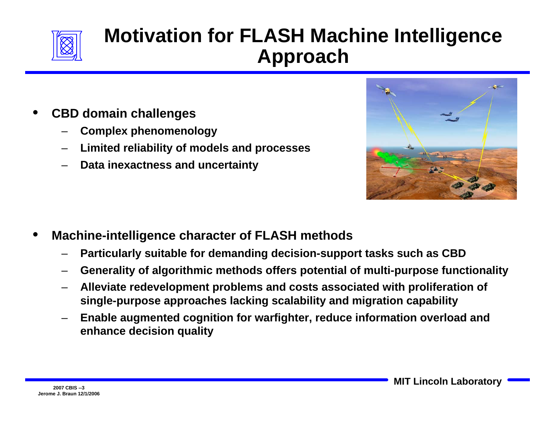

### **Motivation for FLASH Machine Intelligence Approach**

- • **CBD domain challenges**
	- –**Complex phenomenology**
	- –**Limited reliability of models and processes**
	- –**Data inexactness and uncertainty**



- • **Machine-intelligence character of FLASH methods**
	- –**Particularly suitable for demanding decision-support tasks such as CBD**
	- –**Generality of algorithmic methods offers potential of multi-purpose functionality**
	- – **Alleviate redevelopment problems and costs associated with proliferation of single-purpose approaches lacking scalability and migration capability**
	- – **Enable augmented cognition for warfighter, reduce information overload and enhance decision quality**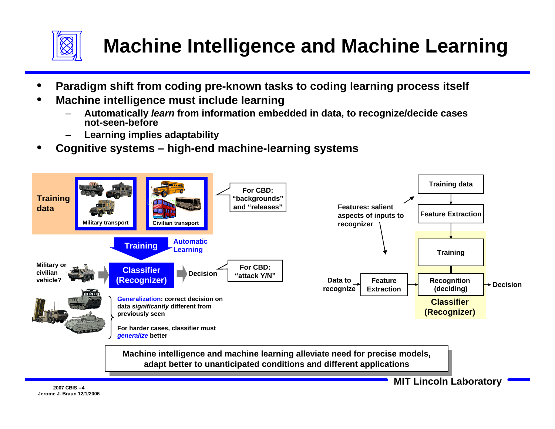

## **Machine Intelligence and Machine Learning**

- •**Paradigm shift from coding pre-known tasks to coding learning process itself**
- • **Machine intelligence must include learning**
	- – **Automatically** *learn* **from information embedded in data, to recognize/decide cases not-seen-before**
	- **Learning implies adaptability**
- •**Cognitive systems – high-end machine-learning systems**



**Machine intelligence and machine learning alleviate need for precise models, adapt better to unanticipated conditions and different applications adapt better to unanticipated conditions and different applicationsMachine intelligence and machine learning alleviate need for precise models,**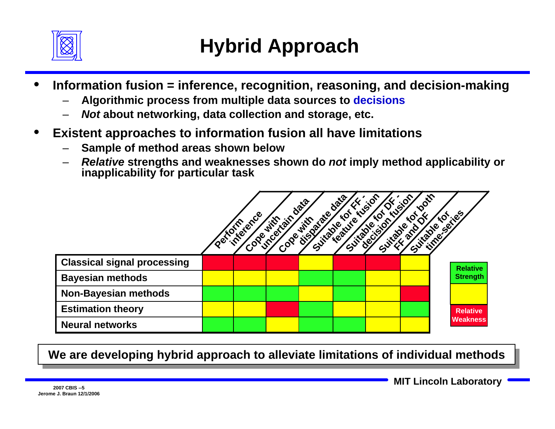

- • **Information fusion = inference, recognition, reasoning, and decision-making**
	- –**Algorithmic process from multiple data sources to decisions**
	- –*Not* **about networking, data collection and storage, etc.**
- • **Existent approaches to information fusion all have limitations**
	- –**Sample of method areas shown below**
	- – *Relative* **strengths and weaknesses shown do** *not* **imply method applicability or inapplicability for particular task**

|                                    | <b>Perfor</b> | inference<br>Cope | uncontain-<br>Cope | Data<br>disorder<br>With<br>Suitable | $\mathcal{R}^{\bullet}$<br>teatlyte<br>Suitable | $\mathbf{Q}$<br>$\mathcal{S}$<br><b>DECIS</b><br>Suitable | <b>Ooifr</b><br>$\epsilon$ <sup>O</sup><br><b>Q</b><br>SS, | Lite of California |
|------------------------------------|---------------|-------------------|--------------------|--------------------------------------|-------------------------------------------------|-----------------------------------------------------------|------------------------------------------------------------|--------------------|
| <b>Classical signal processing</b> |               |                   |                    |                                      |                                                 |                                                           |                                                            | <b>Relative</b>    |
| <b>Bayesian methods</b>            |               |                   |                    |                                      |                                                 |                                                           |                                                            | <b>Strength</b>    |
| <b>Non-Bayesian methods</b>        |               |                   |                    |                                      |                                                 |                                                           |                                                            |                    |
| <b>Estimation theory</b>           |               |                   |                    |                                      |                                                 |                                                           |                                                            | <b>Relative</b>    |
| <b>Neural networks</b>             |               |                   |                    |                                      |                                                 |                                                           |                                                            | <b>Weakness</b>    |

We are developing hybrid approach to alleviate limitations of individual methods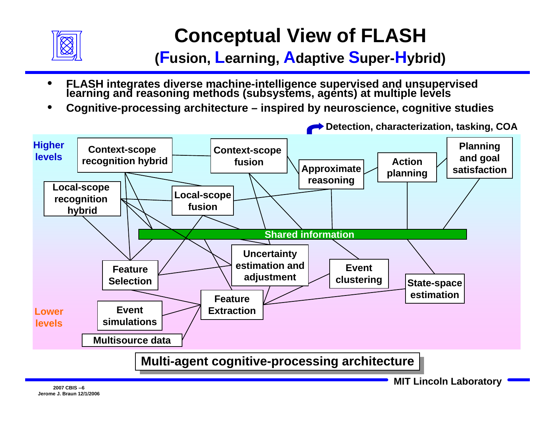

## **Conceptual View of FLASH**

**(Fusion, Learning, Adaptive Super-Hybrid)**

- •**FLASH integrates diverse machine-intelligence supervised and unsupervised learning and reasoning methods (subsystems, agents) at multiple levels**
- •**Cognitive-processing architecture – inspired by neuroscience, cognitive studies**

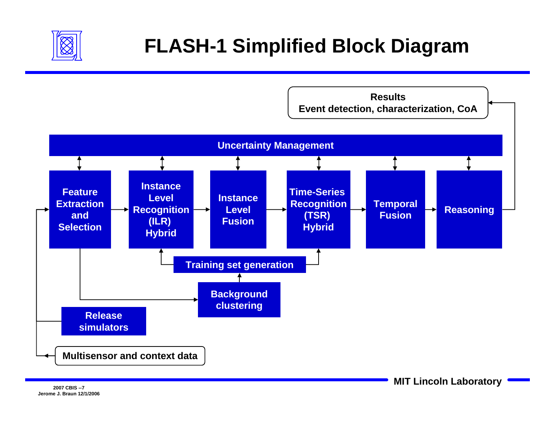

## **FLASH-1 Simplified Block Diagram**

**ResultsEvent detection, characterization, CoA**

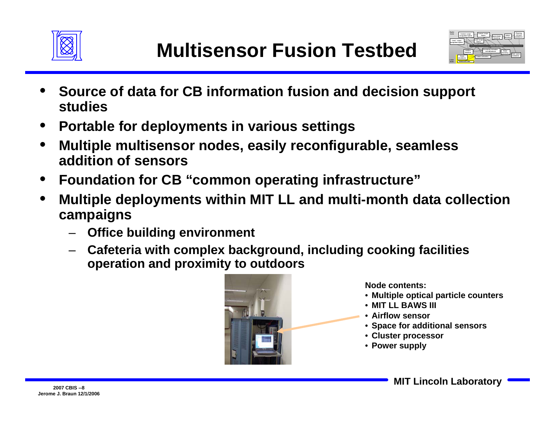



- • **Source of data for CB information fusion and decision support studies**
- •**Portable for deployments in various settings**
- • **Multiple multisensor nodes, easily reconfigurable, seamless addition of sensors**
- •**Foundation for CB "common operating infrastructure"**
- • **Multiple deployments within MIT LL and multi-month data collection campaigns**
	- –**Office building environment**
	- **Cafeteria with complex background, including cooking facilities operation and proximity to outdoors**



**Node contents:** 

- **Multiple optical particle counters**
- **MIT LL BAWS III**
- **Airflow sensor**
- **Space for additional sensors**
- **Cluster processor**
- **Power supply**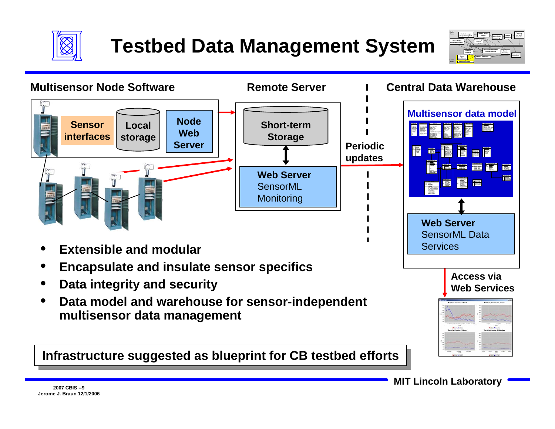

## **Testbed Data Management System**



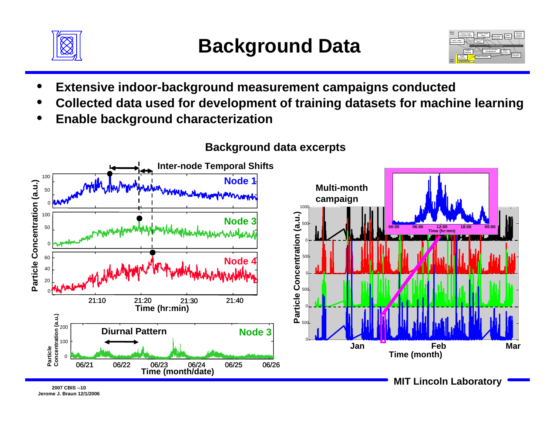



- •**Extensive indoor-background measurement campaigns conducted**
- •**Collected data used for development of training datasets for machine learning**
- •**Enable background characterization**



#### **Background data excerpts**

**Jerome J. Braun 12/1/2006**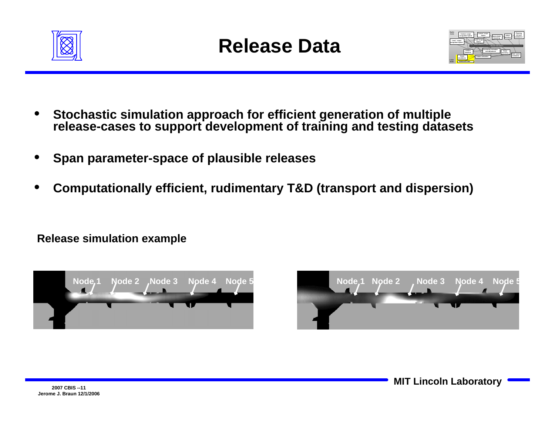



- • **Stochastic simulation approach for efficient generation of multiple release-cases to support development of training and testing datasets**
- •**Span parameter-space of plausible releases**
- •**Computationally efficient, rudimentary T&D (transport and dispersion)**

**Release simulation example**



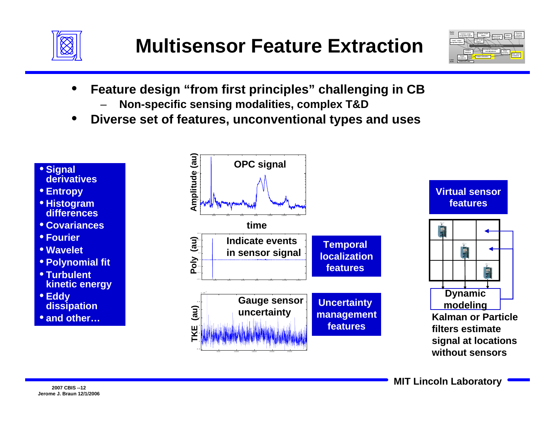



- • **Feature design "from first principles" challenging in CB**
	- –**Non-specific sensing modalities, complex T&D**
- •**Diverse set of features, unconventional types and uses**

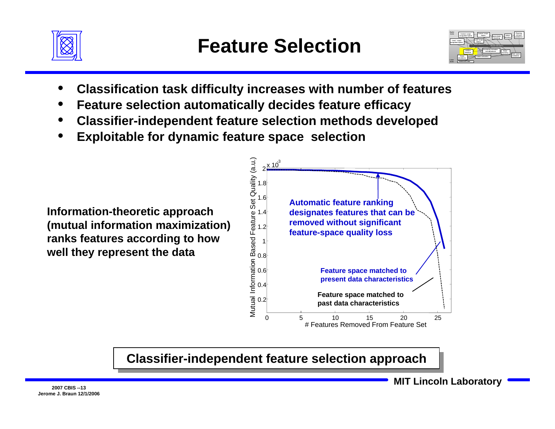



- •**Classification task difficulty increases with number of features**
- •**Feature selection automatically decides feature efficacy**
- •**Classifier-independent feature selection methods developed**
- •**Exploitable for dynamic feature space selection**

**Information-theoretic approach (mutual information maximization) ranks features according to how well they represent the data**



**Classifier-independent feature selection approach Classifier-independent feature selection approach**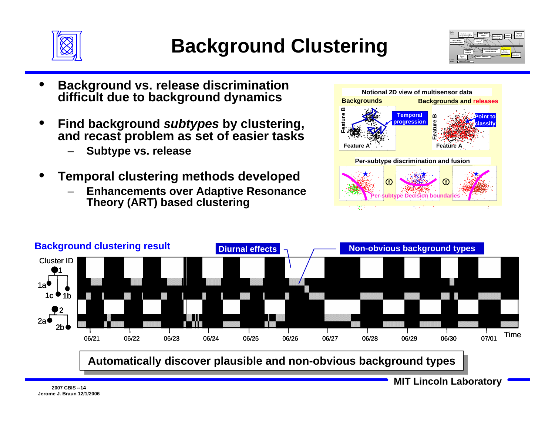



- • **Background vs. release discrimination difficult due to background dynamics**
- • **Find background** *subtypes* **by clustering, and recast problem as set of easier tasks**
	- **Subtype vs. release**
- • **Temporal clustering methods developed**
	- **Enhancements over Adaptive Resonance Theory (ART) based clustering**



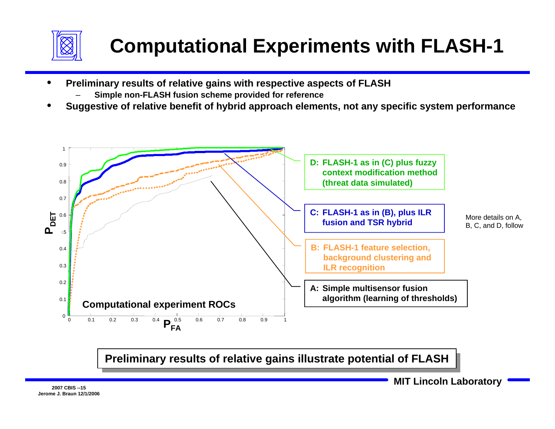

- • **Preliminary results of relative gains with respective aspects of FLASH**
	- –**Simple non-FLASH fusion scheme provided for reference**
- •**Suggestive of relative benefit of hybrid approach elements, not any specific system performance**



**Preliminary results of relative gains illustrate potential of FLASH Preliminary results of relative gains illustrate potential of FLASH**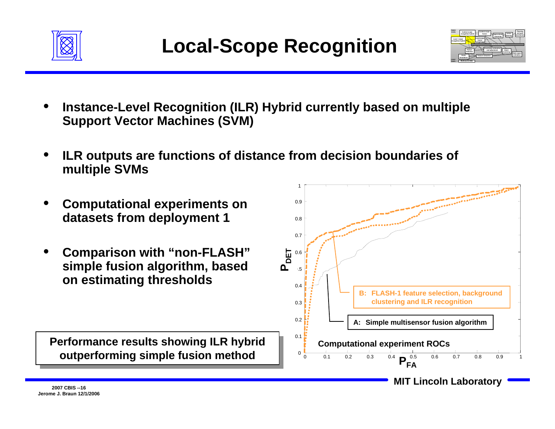



- • **Instance-Level Recognition (ILR) Hybrid currently based on multiple Support Vector Machines (SVM)**
- • **ILR outputs are functions of distance from decision boundaries of multiple SVMs**
- • **Computational experiments on datasets from deployment 1**
- • **Comparison with "non-FLASH" simple fusion algorithm, based on estimating thresholds**

**Performance results showing ILR hybrid Performance results showing ILR hybrid outperforming simple fusion method outperforming simple fusion method**

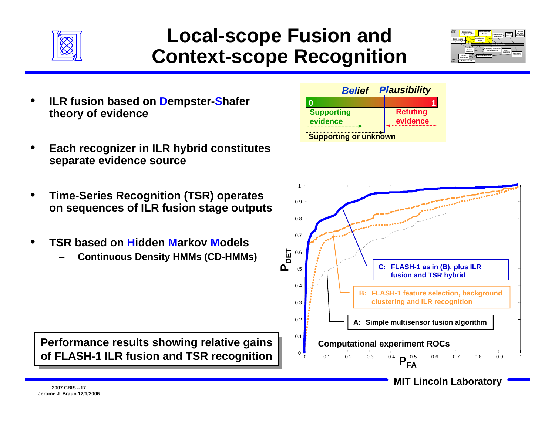

#### **Local-scope Fusion and Context-scope Recognition**



- • **ILR fusion based on Dempster-Shafer theory of evidence**
- • **Each recognizer in ILR hybrid constitutes separate evidence source**
- • **Time-Series Recognition (TSR) operates on sequences of ILR fusion stage outputs**
- • **TSR based on Hidden Markov Models**
	- **Continuous Density HMMs (CD-HMMs)**





**Performance results showing relative gains Performance results showing relative gains of FLASH-1 ILR fusion and TSR recognition of FLASH-1 ILR fusion and TSR recognition** 

**Jerome J. Braun 12/1/2006**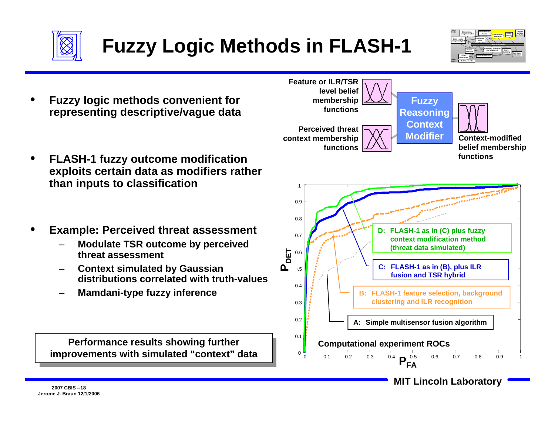

## **Fuzzy Logic Methods in FLASH-1**



- • **Fuzzy logic methods convenient for representing descriptive/vague data**
- • **FLASH-1 fuzzy outcome modification exploits certain data as modifiers rather than inputs to classification**
- • **Example: Perceived threat assessment**
	- **Modulate TSR outcome by perceived threat assessment**
	- **Context simulated by Gaussian distributions correlated with truth-values**
	- **Mamdani-type fuzzy inference**

**Performance results showing further Performance results showing further improvements with simulated "context" data improvements with simulated "context" data**



**MIT Lincoln Laboratory 2007 CBIS --18**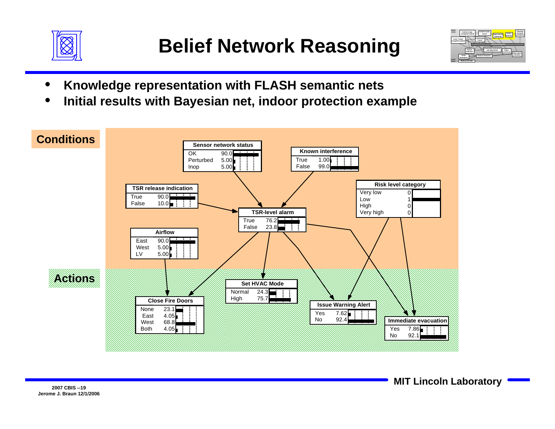



- •**Knowledge representation with FLASH semantic nets**
- •**Initial results with Bayesian net, indoor protection example**

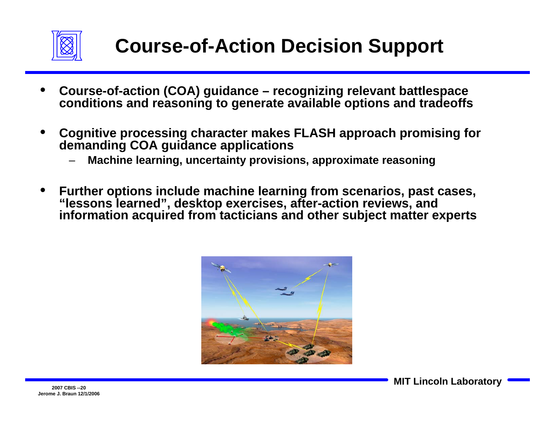

- • **Course-of-action (COA) guidance – recognizing relevant battlespace conditions and reasoning to generate available options and tradeoffs**
- • **Cognitive processing character makes FLASH approach promising for demanding COA guidance applications**
	- –**Machine learning, uncertainty provisions, approximate reasoning**
- • **Further options include machine learning from scenarios, past cases, "lessons learned", desktop exercises, after-action reviews, and information acquired from tacticians and other subject matter experts**

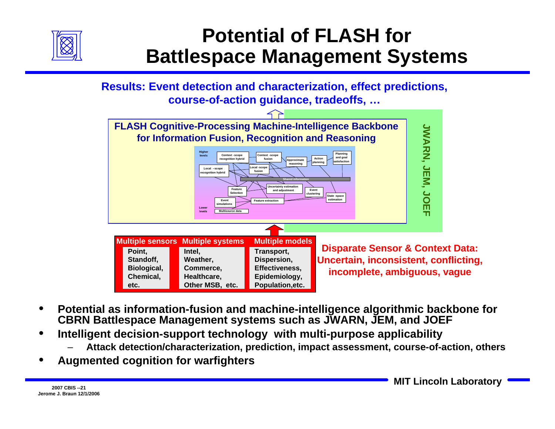

### **Potential of FLASH for Battlespace Management Systems**

**Results: Event detection and characterization, effect predictions, course-of-action guidance, tradeoffs, …**



- • **Potential as information-fusion and machine-intelligence algorithmic backbone for CBRN Battlespace Management systems such as JWARN, JEM, and JOEF**
- • **Intelligent decision-support technology with multi-purpose applicability**
	- –**Attack detection/characterization, prediction, impact assessment, course-of-action, others**
- •**Augmented cognition for warfighters**